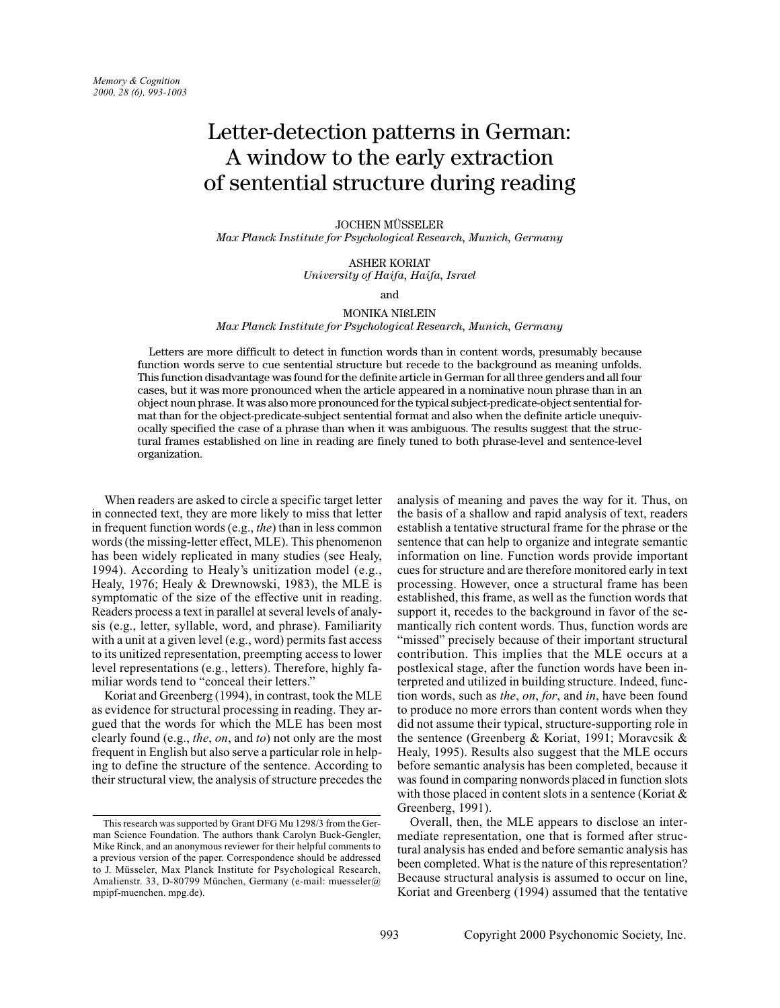# Letter-detection patterns in German: A window to the early extraction of sentential structure during reading

#### JOCHEN MÜSSELER

*Max Planck Institute for Psychological Research, Munich, Germany*

ASHER KORIAT *University of Haifa, Haifa, Israel*

and

# MONIKA NIßLEIN *Max Planck Institute for Psychological Research, Munich, Germany*

Letters are more difficult to detect in function words than in content words, presumably because function words serve to cue sentential structure but recede to the background as meaning unfolds. This function disadvantage was found for the definite article in German for all three genders and all four cases, but it was more pronounced when the article appeared in a nominative noun phrase than in an object noun phrase. It was also more pronounced for the typical subject-predicate-object sentential format than for the object-predicate-subject sentential format and also when the definite article unequivocally specified the case of a phrase than when it was ambiguous. The results suggest that the structural frames established on line in reading are finely tuned to both phrase-level and sentence-level organization.

When readers are asked to circle a specific target letter in connected text, they are more likely to miss that letter in frequent function words (e.g., *the*) than in less common words (the missing-letter effect, MLE). This phenomenon has been widely replicated in many studies (see Healy, 1994). According to Healy's unitization model (e.g., Healy, 1976; Healy & Drewnowski, 1983), the MLE is symptomatic of the size of the effective unit in reading. Readers process a text in parallel at several levels of analysis (e.g., letter, syllable, word, and phrase). Familiarity with a unit at a given level (e.g., word) permits fast access to its unitized representation, preempting access to lower level representations (e.g., letters). Therefore, highly familiar words tend to "conceal their letters."

Koriat and Greenberg (1994), in contrast, took the MLE as evidence for structural processing in reading. They argued that the words for which the MLE has been most clearly found (e.g., *the*, *on*, and *to*) not only are the most frequent in English but also serve a particular role in helping to define the structure of the sentence. According to their structural view, the analysis of structure precedes the

analysis of meaning and paves the way for it. Thus, on the basis of a shallow and rapid analysis of text, readers establish a tentative structural frame for the phrase or the sentence that can help to organize and integrate semantic information on line. Function words provide important cues for structure and are therefore monitored early in text processing. However, once a structural frame has been established, this frame, as well as the function words that support it, recedes to the background in favor of the semantically rich content words. Thus, function words are "missed" precisely because of their important structural contribution. This implies that the MLE occurs at a postlexical stage, after the function words have been interpreted and utilized in building structure. Indeed, function words, such as *the*, *on*, *for*, and *in*, have been found to produce no more errors than content words when they did not assume their typical, structure-supporting role in the sentence (Greenberg & Koriat, 1991; Moravcsik & Healy, 1995). Results also suggest that the MLE occurs before semantic analysis has been completed, because it was found in comparing nonwords placed in function slots with those placed in content slots in a sentence (Koriat & Greenberg, 1991).

Overall, then, the MLE appears to disclose an intermediate representation, one that is formed after structural analysis has ended and before semantic analysis has been completed. What is the nature of this representation? Because structural analysis is assumed to occur on line, Koriat and Greenberg (1994) assumed that the tentative

This research was supported by Grant DFG Mu 1298/3 from the German Science Foundation. The authors thank Carolyn Buck-Gengler, Mike Rinck, and an anonymous reviewer for their helpful comments to a previous version of the paper. Correspondence should be addressed to J. Müsseler, Max Planck Institute for Psychological Research, Amalienstr. 33, D-80799 München, Germany (e-mail: muesseler@ mpipf-muenchen. mpg.de).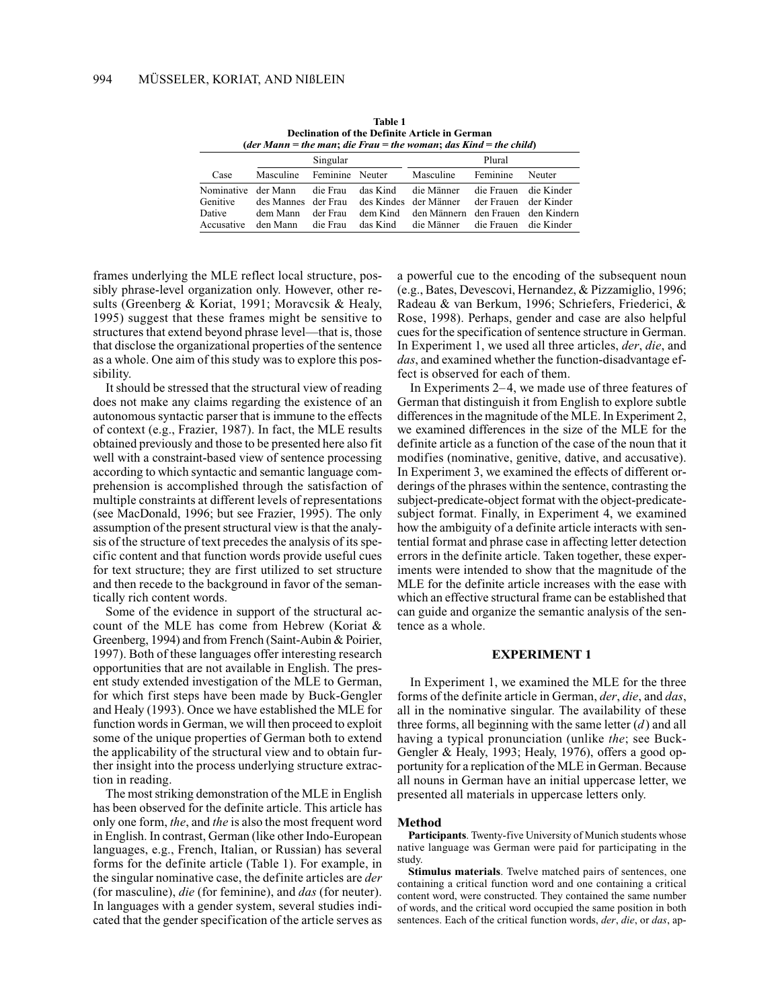| (der Mann = the man; die Frau = the woman; das Kind = the child) |                                             |                                  |                                  |                                                                                                             |                                                                         |        |  |  |
|------------------------------------------------------------------|---------------------------------------------|----------------------------------|----------------------------------|-------------------------------------------------------------------------------------------------------------|-------------------------------------------------------------------------|--------|--|--|
|                                                                  | Singular                                    |                                  |                                  | Plural                                                                                                      |                                                                         |        |  |  |
| Case                                                             | Masculine                                   | Feminine Neuter                  |                                  | Masculine                                                                                                   | Feminine                                                                | Neuter |  |  |
| Genitive<br>Dative<br>Accusative                                 | Nominative der Mann<br>dem Mann<br>den Mann | die Frau<br>der Frau<br>die Frau | das Kind<br>dem Kind<br>das Kind | die Männer<br>des Mannes der Frau des Kindes der Männer<br>den Männern den Frauen den Kindern<br>die Männer | die Frauen die Kinder<br>der Frauen der Kinder<br>die Frauen die Kinder |        |  |  |

**Table 1 Declination of the Definite Article in German**

frames underlying the MLE reflect local structure, possibly phrase-level organization only. However, other results (Greenberg & Koriat, 1991; Moravcsik & Healy, 1995) suggest that these frames might be sensitive to structures that extend beyond phrase level—that is, those that disclose the organizational properties of the sentence as a whole. One aim of this study was to explore this possibility.

It should be stressed that the structural view of reading does not make any claims regarding the existence of an autonomous syntactic parser that is immune to the effects of context (e.g., Frazier, 1987). In fact, the MLE results obtained previously and those to be presented here also fit well with a constraint-based view of sentence processing according to which syntactic and semantic language comprehension is accomplished through the satisfaction of multiple constraints at different levels of representations (see MacDonald, 1996; but see Frazier, 1995). The only assumption of the present structural view is that the analysis of the structure of text precedes the analysis of its specific content and that function words provide useful cues for text structure; they are first utilized to set structure and then recede to the background in favor of the semantically rich content words.

Some of the evidence in support of the structural account of the MLE has come from Hebrew (Koriat & Greenberg, 1994) and from French (Saint-Aubin & Poirier, 1997). Both of these languages offer interesting research opportunities that are not available in English. The present study extended investigation of the MLE to German, for which first steps have been made by Buck-Gengler and Healy (1993). Once we have established the MLE for function words in German, we will then proceed to exploit some of the unique properties of German both to extend the applicability of the structural view and to obtain further insight into the process underlying structure extraction in reading.

The most striking demonstration of the MLE in English has been observed for the definite article. This article has only one form, *the*, and *the* is also the most frequent word in English. In contrast, German (like other Indo-European languages, e.g., French, Italian, or Russian) has several forms for the definite article (Table 1). For example, in the singular nominative case, the definite articles are *der* (for masculine), *die* (for feminine), and *das* (for neuter). In languages with a gender system, several studies indicated that the gender specification of the article serves as a powerful cue to the encoding of the subsequent noun (e.g., Bates, Devescovi, Hernandez, & Pizzamiglio, 1996; Radeau & van Berkum, 1996; Schriefers, Friederici, & Rose, 1998). Perhaps, gender and case are also helpful cues for the specification of sentence structure in German. In Experiment 1, we used all three articles, *der*, *die*, and *das*, and examined whether the function-disadvantage effect is observed for each of them.

In Experiments 2–4, we made use of three features of German that distinguish it from English to explore subtle differences in the magnitude of the MLE. In Experiment 2, we examined differences in the size of the MLE for the definite article as a function of the case of the noun that it modifies (nominative, genitive, dative, and accusative). In Experiment 3, we examined the effects of different orderings of the phrases within the sentence, contrasting the subject-predicate-object format with the object-predicatesubject format. Finally, in Experiment 4, we examined how the ambiguity of a definite article interacts with sentential format and phrase case in affecting letter detection errors in the definite article. Taken together, these experiments were intended to show that the magnitude of the MLE for the definite article increases with the ease with which an effective structural frame can be established that can guide and organize the semantic analysis of the sentence as a whole.

# **EXPERIMENT 1**

In Experiment 1, we examined the MLE for the three forms of the definite article in German, *der*, *die*, and *das*, all in the nominative singular. The availability of these three forms, all beginning with the same letter (*d*) and all having a typical pronunciation (unlike *the*; see Buck-Gengler & Healy, 1993; Healy, 1976), offers a good opportunity for a replication of the MLE in German. Because all nouns in German have an initial uppercase letter, we presented all materials in uppercase letters only.

# **Method**

**Participants**. Twenty-five University of Munich students whose native language was German were paid for participating in the study.

**Stimulus materials**. Twelve matched pairs of sentences, one containing a critical function word and one containing a critical content word, were constructed. They contained the same number of words, and the critical word occupied the same position in both sentences. Each of the critical function words, *der*, *die*, or *das*, ap-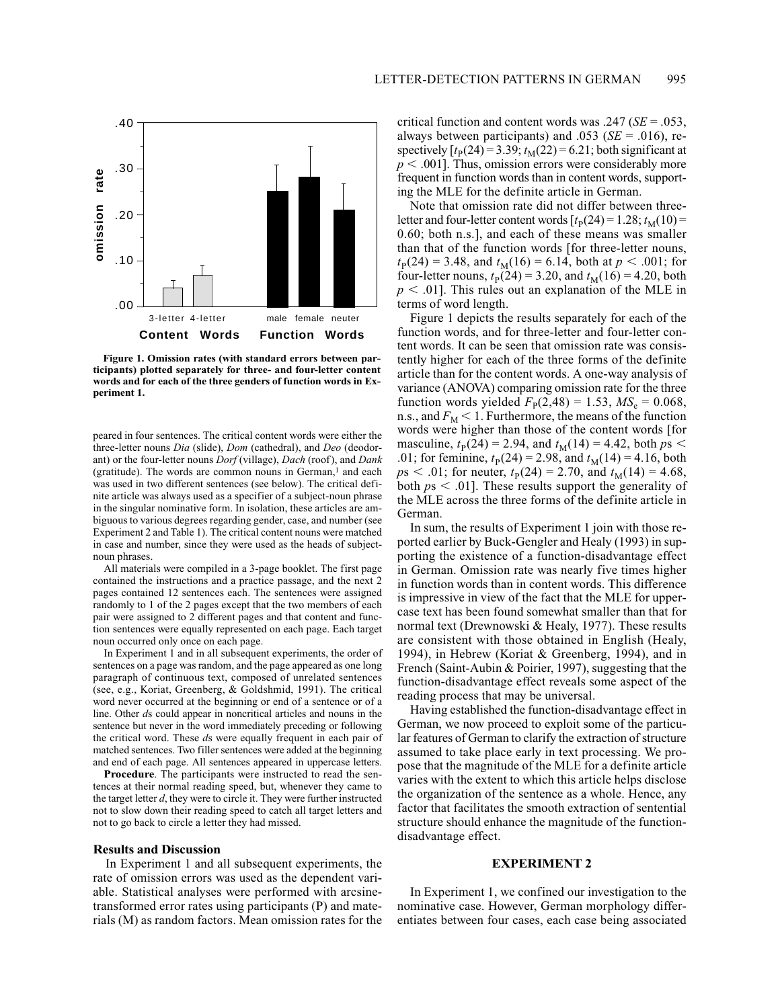

**Figure 1. Omission rates (with standard errors between participants) plotted separately for three- and four-letter content words and for each of the three genders of function words in Experiment 1.**

peared in four sentences. The critical content words were either the three-letter nouns *Dia* (slide), *Dom* (cathedral), and *Deo* (deodorant) or the four-letter nouns *Dorf* (village), *Dach* (roof), and *Dank* (gratitude). The words are common nouns in German, $<sup>1</sup>$  and each</sup> was used in two different sentences (see below). The critical definite article was always used as a specifier of a subject-noun phrase in the singular nominative form. In isolation, these articles are ambiguous to various degrees regarding gender, case, and number (see Experiment 2 and Table 1). The critical content nouns were matched in case and number, since they were used as the heads of subjectnoun phrases.

All materials were compiled in a 3-page booklet. The first page contained the instructions and a practice passage, and the next 2 pages contained 12 sentences each. The sentences were assigned randomly to 1 of the 2 pages except that the two members of each pair were assigned to 2 different pages and that content and function sentences were equally represented on each page. Each target noun occurred only once on each page.

In Experiment 1 and in all subsequent experiments, the order of sentences on a page was random, and the page appeared as one long paragraph of continuous text, composed of unrelated sentences (see, e.g., Koriat, Greenberg, & Goldshmid, 1991). The critical word never occurred at the beginning or end of a sentence or of a line. Other *d*s could appear in noncritical articles and nouns in the sentence but never in the word immediately preceding or following the critical word. These *d*s were equally frequent in each pair of matched sentences. Two filler sentences were added at the beginning and end of each page. All sentences appeared in uppercase letters.

**Procedure**. The participants were instructed to read the sentences at their normal reading speed, but, whenever they came to the target letter *d*, they were to circle it. They were further instructed not to slow down their reading speed to catch all target letters and not to go back to circle a letter they had missed.

#### **Results and Discussion**

In Experiment 1 and all subsequent experiments, the rate of omission errors was used as the dependent variable. Statistical analyses were performed with arcsinetransformed error rates using participants (P) and materials (M) as random factors. Mean omission rates for the

critical function and content words was .247 (*SE* = .053, always between participants) and .053 (*SE* = .016), respectively  $[t_P(24) = 3.39; t_M(22) = 6.21$ ; both significant at  $p < .001$ ]. Thus, omission errors were considerably more frequent in function words than in content words, supporting the MLE for the definite article in German.

Note that omission rate did not differ between threeletter and four-letter content words  $[t_P(24) = 1.28; t_M(10) =$ 0.60; both n.s.], and each of these means was smaller than that of the function words [for three-letter nouns,  $t_{\rm P}(24) = 3.48$ , and  $t_{\rm M}(16) = 6.14$ , both at  $p < .001$ ; for four-letter nouns,  $t_P(24) = 3.20$ , and  $t_M(16) = 4.20$ , both  $p < .01$ ]. This rules out an explanation of the MLE in terms of word length.

Figure 1 depicts the results separately for each of the function words, and for three-letter and four-letter content words. It can be seen that omission rate was consistently higher for each of the three forms of the definite article than for the content words. A one-way analysis of variance (ANOVA) comparing omission rate for the three function words yielded  $F_P(2,48) = 1.53$ ,  $MS_e = 0.068$ , n.s., and  $F_M < 1$ . Furthermore, the means of the function words were higher than those of the content words [for masculine,  $t_P(24) = 2.94$ , and  $t_M(14) = 4.42$ , both  $ps <$ .01; for feminine,  $t_P(24) = 2.98$ , and  $t_M(14) = 4.16$ , both  $p s < .01$ ; for neuter,  $t_{\rm P}(24) = 2.70$ , and  $t_{\rm M}(14) = 4.68$ , both  $ps < .01$ . These results support the generality of the MLE across the three forms of the definite article in German.

In sum, the results of Experiment 1 join with those reported earlier by Buck-Gengler and Healy (1993) in supporting the existence of a function-disadvantage effect in German. Omission rate was nearly five times higher in function words than in content words. This difference is impressive in view of the fact that the MLE for uppercase text has been found somewhat smaller than that for normal text (Drewnowski & Healy, 1977). These results are consistent with those obtained in English (Healy, 1994), in Hebrew (Koriat & Greenberg, 1994), and in French (Saint-Aubin & Poirier, 1997), suggesting that the function-disadvantage effect reveals some aspect of the reading process that may be universal.

Having established the function-disadvantage effect in German, we now proceed to exploit some of the particular features of German to clarify the extraction of structure assumed to take place early in text processing. We propose that the magnitude of the MLE for a definite article varies with the extent to which this article helps disclose the organization of the sentence as a whole. Hence, any factor that facilitates the smooth extraction of sentential structure should enhance the magnitude of the functiondisadvantage effect.

# **EXPERIMENT 2**

In Experiment 1, we confined our investigation to the nominative case. However, German morphology differentiates between four cases, each case being associated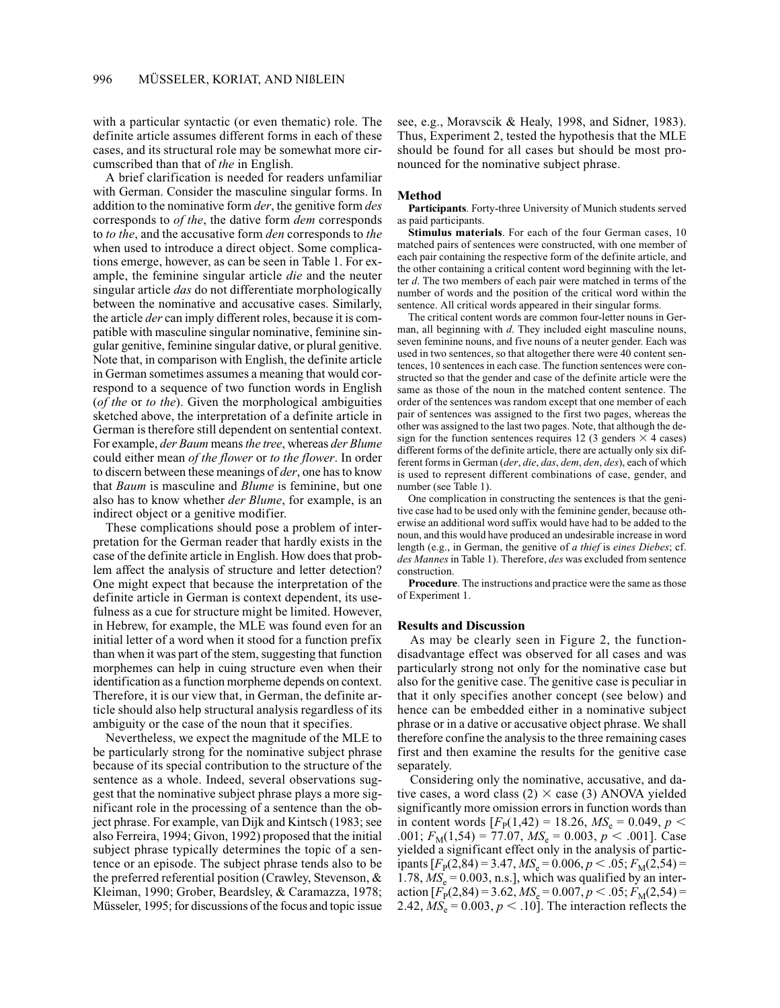with a particular syntactic (or even thematic) role. The definite article assumes different forms in each of these cases, and its structural role may be somewhat more circumscribed than that of *the* in English.

A brief clarification is needed for readers unfamiliar with German. Consider the masculine singular forms. In addition to the nominative form *der*, the genitive form *des* corresponds to *of the*, the dative form *dem* corresponds to *to the*, and the accusative form *den* corresponds to *the* when used to introduce a direct object. Some complications emerge, however, as can be seen in Table 1. For example, the feminine singular article *die* and the neuter singular article *das* do not differentiate morphologically between the nominative and accusative cases. Similarly, the article *der* can imply different roles, because it is compatible with masculine singular nominative, feminine singular genitive, feminine singular dative, or plural genitive. Note that, in comparison with English, the definite article in German sometimes assumes a meaning that would correspond to a sequence of two function words in English (*of the* or *to the*). Given the morphological ambiguities sketched above, the interpretation of a definite article in German is therefore still dependent on sentential context. For example, *der Baum* means *the tree*, whereas *der Blume* could either mean *of the flower* or *to the flower*. In order to discern between these meanings of *der*, one has to know that *Baum* is masculine and *Blume* is feminine, but one also has to know whether *der Blume*, for example, is an indirect object or a genitive modifier.

These complications should pose a problem of interpretation for the German reader that hardly exists in the case of the definite article in English. How does that problem affect the analysis of structure and letter detection? One might expect that because the interpretation of the definite article in German is context dependent, its usefulness as a cue for structure might be limited. However, in Hebrew, for example, the MLE was found even for an initial letter of a word when it stood for a function prefix than when it was part of the stem, suggesting that function morphemes can help in cuing structure even when their identification as a function morpheme depends on context. Therefore, it is our view that, in German, the definite article should also help structural analysis regardless of its ambiguity or the case of the noun that it specifies.

Nevertheless, we expect the magnitude of the MLE to be particularly strong for the nominative subject phrase because of its special contribution to the structure of the sentence as a whole. Indeed, several observations suggest that the nominative subject phrase plays a more significant role in the processing of a sentence than the object phrase. For example, van Dijk and Kintsch (1983; see also Ferreira, 1994; Givon, 1992) proposed that the initial subject phrase typically determines the topic of a sentence or an episode. The subject phrase tends also to be the preferred referential position (Crawley, Stevenson, & Kleiman, 1990; Grober, Beardsley, & Caramazza, 1978; Müsseler, 1995; for discussions of the focus and topic issue see, e.g., Moravscik & Healy, 1998, and Sidner, 1983). Thus, Experiment 2, tested the hypothesis that the MLE should be found for all cases but should be most pronounced for the nominative subject phrase.

# **Method**

**Participants**. Forty-three University of Munich students served as paid participants.

**Stimulus materials**. For each of the four German cases, 10 matched pairs of sentences were constructed, with one member of each pair containing the respective form of the definite article, and the other containing a critical content word beginning with the letter *d*. The two members of each pair were matched in terms of the number of words and the position of the critical word within the sentence. All critical words appeared in their singular forms.

The critical content words are common four-letter nouns in German, all beginning with *d*. They included eight masculine nouns, seven feminine nouns, and five nouns of a neuter gender. Each was used in two sentences, so that altogether there were 40 content sentences, 10 sentences in each case. The function sentences were constructed so that the gender and case of the definite article were the same as those of the noun in the matched content sentence. The order of the sentences was random except that one member of each pair of sentences was assigned to the first two pages, whereas the other was assigned to the last two pages. Note, that although the design for the function sentences requires 12 (3 genders  $\times$  4 cases) different forms of the definite article, there are actually only six different forms in German (*der*, *die*, *das*, *dem*, *den*, *des*), each of which is used to represent different combinations of case, gender, and number (see Table 1).

One complication in constructing the sentences is that the genitive case had to be used only with the feminine gender, because otherwise an additional word suffix would have had to be added to the noun, and this would have produced an undesirable increase in word length (e.g., in German, the genitive of *a thief* is *eines Diebes*; cf. *des Mannes* in Table 1). Therefore, *des* was excluded from sentence construction.

**Procedure**. The instructions and practice were the same as those of Experiment 1.

#### **Results and Discussion**

As may be clearly seen in Figure 2, the functiondisadvantage effect was observed for all cases and was particularly strong not only for the nominative case but also for the genitive case. The genitive case is peculiar in that it only specifies another concept (see below) and hence can be embedded either in a nominative subject phrase or in a dative or accusative object phrase. We shall therefore confine the analysis to the three remaining cases first and then examine the results for the genitive case separately.

Considering only the nominative, accusative, and dative cases, a word class  $(2) \times$  case  $(3)$  ANOVA yielded significantly more omission errors in function words than in content words  $[F_{P}(1,42) = 18.26, MS_{e} = 0.049, p <$  $0.001$ ;  $F_M(1,54) = 77.07$ ,  $MS_e = 0.003$ ,  $p < .001$ ]. Case yielded a significant effect only in the analysis of participants  $[F_P(2,84) = 3.47, M S_e = 0.006, p < .05; F_M(2,54) =$ 1.78,  $MS_e = 0.003$ , n.s.], which was qualified by an interaction  $[F_P(2,84) = 3.62, M S_e = 0.007, p < .05; F_M(2,54) =$ 2.42,  $MS_e = 0.003$ ,  $p < .10$ . The interaction reflects the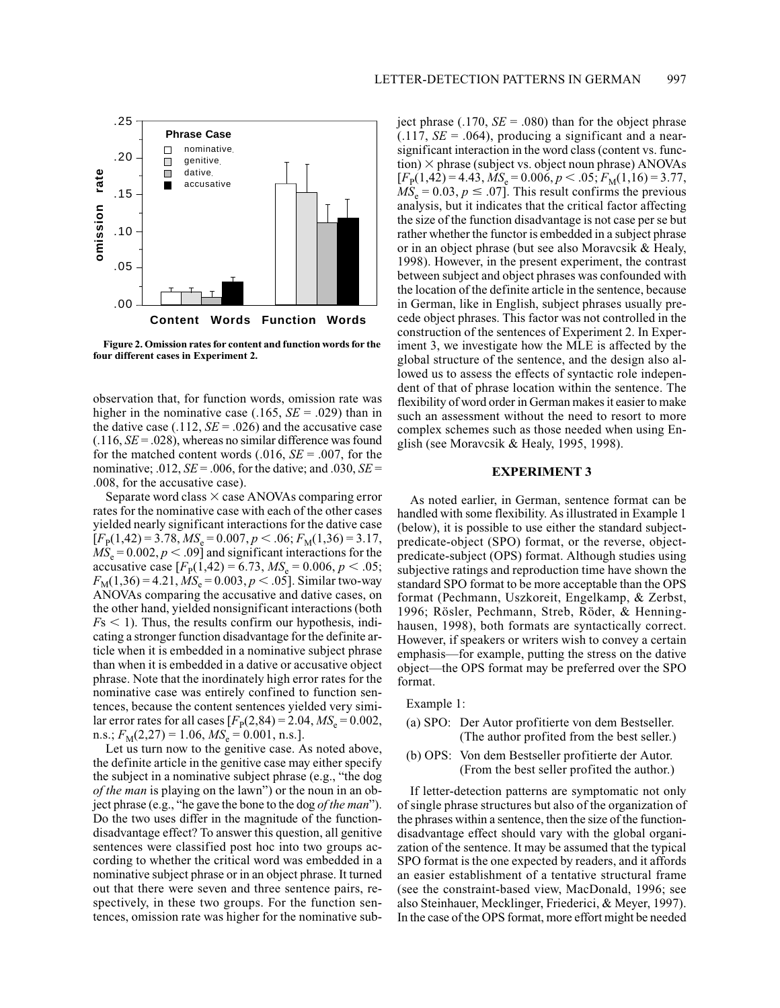

**Figure 2. Omission rates for content and function words for the four different cases in Experiment 2.**

observation that, for function words, omission rate was higher in the nominative case (.165, *SE* = .029) than in the dative case  $(.112, SE = .026)$  and the accusative case  $(.116, SE = .028)$ , whereas no similar difference was found for the matched content words  $(.016, SE = .007,$  for the nominative;  $.012$ ,  $SE = .006$ , for the dative; and  $.030$ ,  $SE =$ .008, for the accusative case).

Separate word class  $\times$  case ANOVAs comparing error rates for the nominative case with each of the other cases yielded nearly significant interactions for the dative case  $[F_{\rm P}(1,42) = 3.78, MS_{\rm e} = 0.007, p < .06; F_{\rm M}(1,36) = 3.17,$  $MS_e = 0.002, p < .09$ ] and significant interactions for the accusative case  $[F_{\rm p}(1,42) = 6.73, MS_{\rm e} = 0.006, p < .05;$  $F_{\text{M}}(1,36) = 4.21, \text{MS}_{\text{e}} = 0.003, p < .05$ ]. Similar two-way ANOVAs comparing the accusative and dative cases, on the other hand, yielded nonsignificant interactions (both  $Fs < 1$ ). Thus, the results confirm our hypothesis, indicating a stronger function disadvantage for the definite article when it is embedded in a nominative subject phrase than when it is embedded in a dative or accusative object phrase. Note that the inordinately high error rates for the nominative case was entirely confined to function sentences, because the content sentences yielded very similar error rates for all cases  $[F_P(2,84) = 2.04, MS_e = 0.002,$ n.s.;  $F_M(2,27) = 1.06$ ,  $MS_e = 0.001$ , n.s.].

Let us turn now to the genitive case. As noted above, the definite article in the genitive case may either specify the subject in a nominative subject phrase (e.g., "the dog *of the man* is playing on the lawn") or the noun in an object phrase (e.g., "he gave the bone to the dog *of the man*"). Do the two uses differ in the magnitude of the functiondisadvantage effect? To answer this question, all genitive sentences were classified post hoc into two groups according to whether the critical word was embedded in a nominative subject phrase or in an object phrase. It turned out that there were seven and three sentence pairs, respectively, in these two groups. For the function sentences, omission rate was higher for the nominative subject phrase  $(.170, SE = .080)$  than for the object phrase  $(0.117, SE = 0.064)$ , producing a significant and a nearsignificant interaction in the word class (content vs. func- $\text{tion}$   $\times$  phrase (subject vs. object noun phrase) ANOVAs  $[F_{\rm P}(1,42) = 4.43, M S_{\rm e} = 0.006, p < .05; F_{\rm M}(1,16) = 3.77,$  $MS_e = 0.03, p \le .07$ . This result confirms the previous analysis, but it indicates that the critical factor affecting the size of the function disadvantage is not case per se but rather whether the functor is embedded in a subject phrase or in an object phrase (but see also Moravcsik & Healy, 1998). However, in the present experiment, the contrast between subject and object phrases was confounded with the location of the definite article in the sentence, because in German, like in English, subject phrases usually precede object phrases. This factor was not controlled in the construction of the sentences of Experiment 2. In Experiment 3, we investigate how the MLE is affected by the global structure of the sentence, and the design also allowed us to assess the effects of syntactic role independent of that of phrase location within the sentence. The flexibility of word order in German makes it easier to make such an assessment without the need to resort to more complex schemes such as those needed when using English (see Moravcsik & Healy, 1995, 1998).

# **EXPERIMENT 3**

As noted earlier, in German, sentence format can be handled with some flexibility. As illustrated in Example 1 (below), it is possible to use either the standard subjectpredicate-object (SPO) format, or the reverse, objectpredicate-subject (OPS) format. Although studies using subjective ratings and reproduction time have shown the standard SPO format to be more acceptable than the OPS format (Pechmann, Uszkoreit, Engelkamp, & Zerbst, 1996; Rösler, Pechmann, Streb, Röder, & Henninghausen, 1998), both formats are syntactically correct. However, if speakers or writers wish to convey a certain emphasis—for example, putting the stress on the dative object—the OPS format may be preferred over the SPO format.

Example 1:

- (a) SPO: Der Autor profitierte von dem Bestseller. (The author profited from the best seller.)
- (b) OPS: Von dem Bestseller profitierte der Autor. (From the best seller profited the author.)

If letter-detection patterns are symptomatic not only of single phrase structures but also of the organization of the phrases within a sentence, then the size of the functiondisadvantage effect should vary with the global organization of the sentence. It may be assumed that the typical SPO format is the one expected by readers, and it affords an easier establishment of a tentative structural frame (see the constraint-based view, MacDonald, 1996; see also Steinhauer, Mecklinger, Friederici, & Meyer, 1997). In the case of the OPS format, more effort might be needed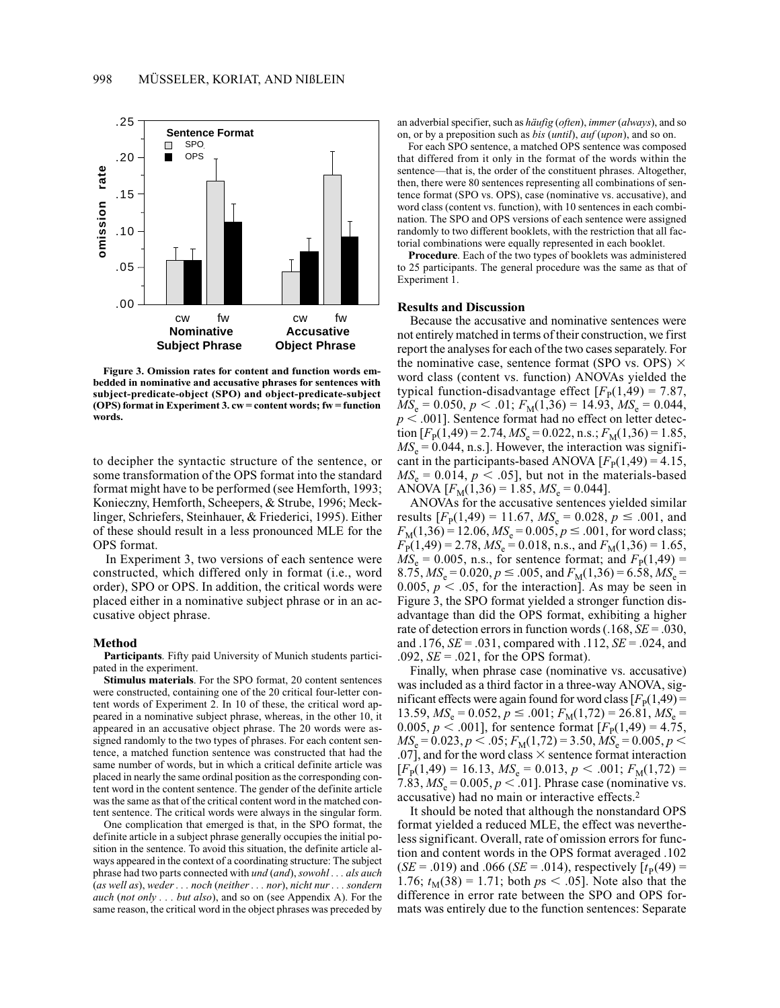

**Figure 3. Omission rates for content and function words embedded in nominative and accusative phrases for sentences with subject-predicate-object (SPO) and object-predicate-subject (OPS) format in Experiment 3. cw = content words; fw = function words.**

to decipher the syntactic structure of the sentence, or some transformation of the OPS format into the standard format might have to be performed (see Hemforth, 1993; Konieczny, Hemforth, Scheepers, & Strube, 1996; Mecklinger, Schriefers, Steinhauer, & Friederici, 1995). Either of these should result in a less pronounced MLE for the OPS format.

In Experiment 3, two versions of each sentence were constructed, which differed only in format (i.e., word order), SPO or OPS. In addition, the critical words were placed either in a nominative subject phrase or in an accusative object phrase.

#### **Method**

**Participants**. Fifty paid University of Munich students participated in the experiment.

**Stimulus materials**. For the SPO format, 20 content sentences were constructed, containing one of the 20 critical four-letter content words of Experiment 2. In 10 of these, the critical word appeared in a nominative subject phrase, whereas, in the other 10, it appeared in an accusative object phrase. The 20 words were assigned randomly to the two types of phrases. For each content sentence, a matched function sentence was constructed that had the same number of words, but in which a critical definite article was placed in nearly the same ordinal position as the corresponding content word in the content sentence. The gender of the definite article was the same as that of the critical content word in the matched content sentence. The critical words were always in the singular form.

One complication that emerged is that, in the SPO format, the definite article in a subject phrase generally occupies the initial position in the sentence. To avoid this situation, the definite article always appeared in the context of a coordinating structure: The subject phrase had two parts connected with *und* (*and*), *sowohl . . . als auch* (*as well as*), *weder . . . noch* (*neither . . . nor*), *nicht nur . . . sondern auch* (*not only . . . but also*), and so on (see Appendix A). For the same reason, the critical word in the object phrases was preceded by an adverbial specifier, such as *häufig* (*often*), *immer*(*always*), and so on, or by a preposition such as *bis* (*until*), *auf* (*upon*), and so on.

For each SPO sentence, a matched OPS sentence was composed that differed from it only in the format of the words within the sentence—that is, the order of the constituent phrases. Altogether, then, there were 80 sentences representing all combinations of sentence format (SPO vs. OPS), case (nominative vs. accusative), and word class (content vs. function), with 10 sentences in each combination. The SPO and OPS versions of each sentence were assigned randomly to two different booklets, with the restriction that all factorial combinations were equally represented in each booklet.

**Procedure**. Each of the two types of booklets was administered to 25 participants. The general procedure was the same as that of Experiment 1.

# **Results and Discussion**

Because the accusative and nominative sentences were not entirely matched in terms of their construction, we first report the analyses for each of the two cases separately. For the nominative case, sentence format (SPO vs. OPS)  $\times$ word class (content vs. function) ANOVAs yielded the typical function-disadvantage effect  $[F_p(1,49) = 7.87]$ ,  $MS_e = 0.050, p < .01; F_M(1,36) = 14.93, MS_e = 0.044,$  $p < .001$ ]. Sentence format had no effect on letter detection  $[F<sub>P</sub>(1,49) = 2.74, MS<sub>e</sub> = 0.022, n.s.; F<sub>M</sub>(1,36) = 1.85,$  $MS_e = 0.044$ , n.s.]. However, the interaction was significant in the participants-based ANOVA  $[F<sub>P</sub>(1,49) = 4.15$ ,  $MS_e = 0.014$ ,  $p < .05$ ], but not in the materials-based ANOVA  $[F_M(1,36) = 1.85, MS_e = 0.044]$ .

ANOVAs for the accusative sentences yielded similar results  $[F_{P}(1,49) = 11.67, MS_{e} = 0.028, p \le .001, and$  $F_{\text{M}}(1,36) = 12.06$ ,  $MS_e = 0.005$ ,  $p \le .001$ , for word class;  $F_{\rm P}(1,49) = 2.78$ ,  $MS_e = 0.018$ , n.s., and  $F_{\rm M}(1,36) = 1.65$ ,  $MS_e = 0.005$ , n.s., for sentence format; and  $F_p(1,49) =$ 8.75,  $MS_e = 0.020$ ,  $p \le 0.005$ , and  $F_M(1,36) = 6.58$ ,  $MS_e =$ 0.005,  $p < 0.05$ , for the interaction]. As may be seen in Figure 3, the SPO format yielded a stronger function disadvantage than did the OPS format, exhibiting a higher rate of detection errors in function words (.168, *SE* = .030, and .176, *SE* = .031, compared with .112, *SE* = .024, and .092, *SE* = .021, for the OPS format).

Finally, when phrase case (nominative vs. accusative) was included as a third factor in a three-way ANOVA, significant effects were again found for word class  $[F<sub>P</sub>(1,49) =$ 13.59,  $MS_e = 0.052$ ,  $p \le .001$ ;  $F_M(1,72) = 26.81$ ,  $MS_e =$ 0.005,  $p < .001$ ], for sentence format  $[F<sub>P</sub>(1,49) = 4.75$ ,  $MS_e = 0.023, p < .05; F_M(1,72) = 3.50, MS_e = 0.005, p <$ .07], and for the word class  $\times$  sentence format interaction  $[F_{\rm P}(1,49) = 16.13, MS_{\rm e} = 0.013, p < .001; F_{\rm M}(1,72) =$ 7.83,  $MS_e = 0.005$ ,  $p < .01$ ]. Phrase case (nominative vs. accusative) had no main or interactive effects.2

It should be noted that although the nonstandard OPS format yielded a reduced MLE, the effect was nevertheless significant. Overall, rate of omission errors for function and content words in the OPS format averaged .102  $(SE = .019)$  and  $.066$  (*SE* = .014), respectively  $[t_P(49) =$ 1.76;  $t_M(38) = 1.71$ ; both  $ps < .05$ ]. Note also that the difference in error rate between the SPO and OPS formats was entirely due to the function sentences: Separate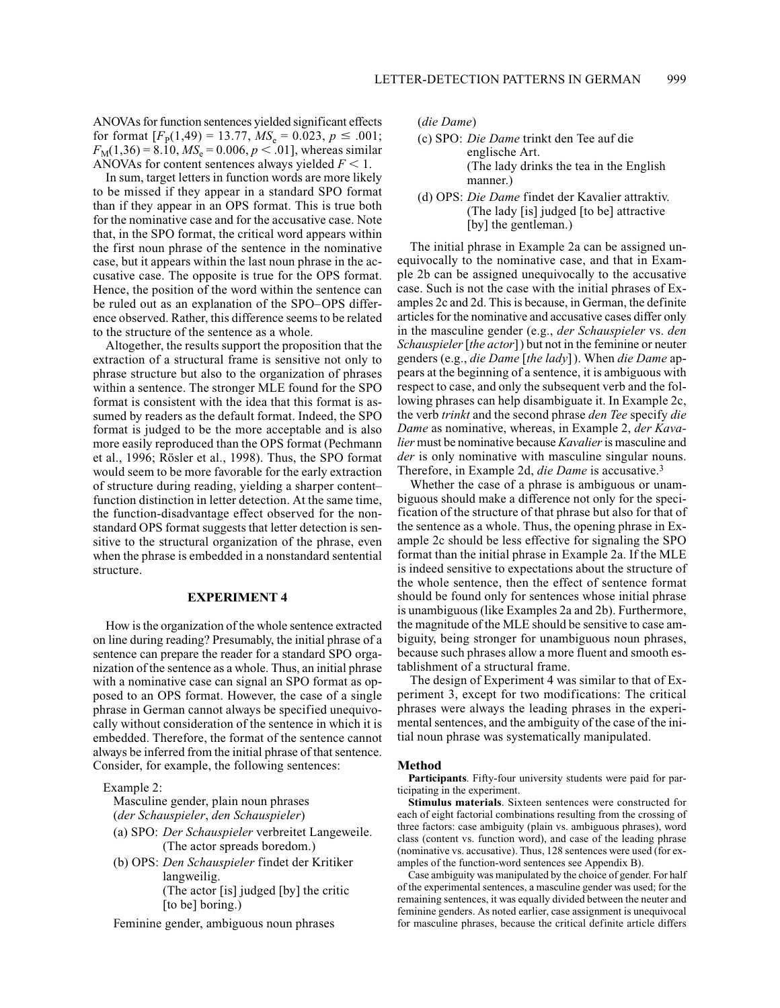ANOVAs for function sentences yielded significant effects for format  $[F_{\rm p}(1,49) = 13.77, M S_{\rm e} = 0.023, p \le .001;$  $F_M(1,36) = 8.10, \, MS_e = 0.006, \, p < .01$ , whereas similar ANOVAs for content sentences always yielded  $F < 1$ .

In sum, target letters in function words are more likely to be missed if they appear in a standard SPO format than if they appear in an OPS format. This is true both for the nominative case and for the accusative case. Note that, in the SPO format, the critical word appears within the first noun phrase of the sentence in the nominative case, but it appears within the last noun phrase in the accusative case. The opposite is true for the OPS format. Hence, the position of the word within the sentence can be ruled out as an explanation of the SPO–OPS difference observed. Rather, this difference seems to be related to the structure of the sentence as a whole.

Altogether, the results support the proposition that the extraction of a structural frame is sensitive not only to phrase structure but also to the organization of phrases within a sentence. The stronger MLE found for the SPO format is consistent with the idea that this format is assumed by readers as the default format. Indeed, the SPO format is judged to be the more acceptable and is also more easily reproduced than the OPS format (Pechmann et al., 1996; Rösler et al., 1998). Thus, the SPO format would seem to be more favorable for the early extraction of structure during reading, yielding a sharper content– function distinction in letter detection. At the same time, the function-disadvantage effect observed for the nonstandard OPS format suggests that letter detection is sensitive to the structural organization of the phrase, even when the phrase is embedded in a nonstandard sentential structure.

# **EXPERIMENT 4**

How is the organization of the whole sentence extracted on line during reading? Presumably, the initial phrase of a sentence can prepare the reader for a standard SPO organization of the sentence as a whole. Thus, an initial phrase with a nominative case can signal an SPO format as opposed to an OPS format. However, the case of a single phrase in German cannot always be specified unequivocally without consideration of the sentence in which it is embedded. Therefore, the format of the sentence cannot always be inferred from the initial phrase of that sentence. Consider, for example, the following sentences:

Example 2:

Masculine gender, plain noun phrases (*der Schauspieler*, *den Schauspieler*)

- (a) SPO: *Der Schauspieler* verbreitet Langeweile. (The actor spreads boredom.)
- (b) OPS: *Den Schauspieler* findet der Kritiker langweilig. (The actor [is] judged [by] the critic [to be] boring.)

Feminine gender, ambiguous noun phrases

(*die Dame*)

- (c) SPO: *Die Dame* trinkt den Tee auf die englische Art. (The lady drinks the tea in the English manner.)
- (d) OPS: *Die Dame* findet der Kavalier attraktiv. (The lady [is] judged [to be] attractive [by] the gentleman.)

The initial phrase in Example 2a can be assigned unequivocally to the nominative case, and that in Example 2b can be assigned unequivocally to the accusative case. Such is not the case with the initial phrases of Examples 2c and 2d. This is because, in German, the definite articles for the nominative and accusative cases differ only in the masculine gender (e.g., *der Schauspieler* vs. *den Schauspieler*[*the actor*]) but not in the feminine or neuter genders (e.g., *die Dame* [*the lady*]). When *die Dame* appears at the beginning of a sentence, it is ambiguous with respect to case, and only the subsequent verb and the following phrases can help disambiguate it. In Example 2c, the verb *trinkt* and the second phrase *den Tee* specify *die Dame* as nominative, whereas, in Example 2, *der Kavalier* must be nominative because *Kavalier*is masculine and *der* is only nominative with masculine singular nouns. Therefore, in Example 2d, *die Dame* is accusative.3

Whether the case of a phrase is ambiguous or unambiguous should make a difference not only for the specification of the structure of that phrase but also for that of the sentence as a whole. Thus, the opening phrase in Example 2c should be less effective for signaling the SPO format than the initial phrase in Example 2a. If the MLE is indeed sensitive to expectations about the structure of the whole sentence, then the effect of sentence format should be found only for sentences whose initial phrase is unambiguous (like Examples 2a and 2b). Furthermore, the magnitude of the MLE should be sensitive to case ambiguity, being stronger for unambiguous noun phrases, because such phrases allow a more fluent and smooth establishment of a structural frame.

The design of Experiment 4 was similar to that of Experiment 3, except for two modifications: The critical phrases were always the leading phrases in the experimental sentences, and the ambiguity of the case of the initial noun phrase was systematically manipulated.

#### **Method**

**Participants**. Fifty-four university students were paid for participating in the experiment.

**Stimulus materials**. Sixteen sentences were constructed for each of eight factorial combinations resulting from the crossing of three factors: case ambiguity (plain vs. ambiguous phrases), word class (content vs. function word), and case of the leading phrase (nominative vs. accusative). Thus, 128 sentences were used (for examples of the function-word sentences see Appendix B).

Case ambiguity was manipulated by the choice of gender. For half of the experimental sentences, a masculine gender was used; for the remaining sentences, it was equally divided between the neuter and feminine genders. As noted earlier, case assignment is unequivocal for masculine phrases, because the critical definite article differs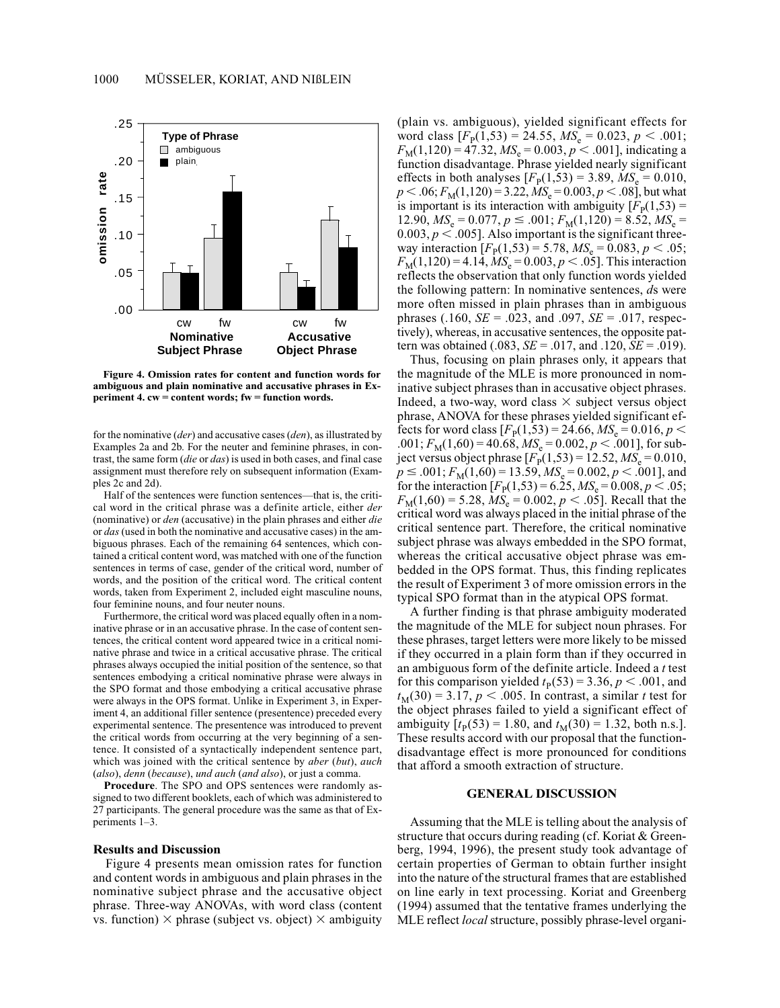

**Figure 4. Omission rates for content and function words for ambiguous and plain nominative and accusative phrases in Experiment 4. cw = content words; fw = function words.**

for the nominative (*der*) and accusative cases (*den*), as illustrated by Examples 2a and 2b. For the neuter and feminine phrases, in contrast, the same form (*die* or *das*) is used in both cases, and final case assignment must therefore rely on subsequent information (Examples 2c and 2d).

Half of the sentences were function sentences—that is, the critical word in the critical phrase was a definite article, either *der* (nominative) or *den* (accusative) in the plain phrases and either *die* or *das* (used in both the nominative and accusative cases) in the ambiguous phrases. Each of the remaining 64 sentences, which contained a critical content word, was matched with one of the function sentences in terms of case, gender of the critical word, number of words, and the position of the critical word. The critical content words, taken from Experiment 2, included eight masculine nouns, four feminine nouns, and four neuter nouns.

Furthermore, the critical word was placed equally often in a nominative phrase or in an accusative phrase. In the case of content sentences, the critical content word appeared twice in a critical nominative phrase and twice in a critical accusative phrase. The critical phrases always occupied the initial position of the sentence, so that sentences embodying a critical nominative phrase were always in the SPO format and those embodying a critical accusative phrase were always in the OPS format. Unlike in Experiment 3, in Experiment 4, an additional filler sentence (presentence) preceded every experimental sentence. The presentence was introduced to prevent the critical words from occurring at the very beginning of a sentence. It consisted of a syntactically independent sentence part, which was joined with the critical sentence by *aber* (*but*), *auch* (*also*), *denn* (*because*), *und auch* (*and also*), or just a comma.

**Procedure**. The SPO and OPS sentences were randomly assigned to two different booklets, each of which was administered to 27 participants. The general procedure was the same as that of Experiments 1–3.

#### **Results and Discussion**

Figure 4 presents mean omission rates for function and content words in ambiguous and plain phrases in the nominative subject phrase and the accusative object phrase. Three-way ANOVAs, with word class (content vs. function)  $\times$  phrase (subject vs. object)  $\times$  ambiguity (plain vs. ambiguous), yielded significant effects for word class  $[F_{\rm p}(1,53) = 24.55, M S_{\rm e} = 0.023, p < .001;$  $F_M(1,120) = 47.32, M S_e = 0.003, p < .001$ , indicating a function disadvantage. Phrase yielded nearly significant effects in both analyses  $[F_{\rm p}(1,53) = 3.89, MS_{\rm e} = 0.010,$  $p < .06; F<sub>M</sub>(1,120) = 3.22, MS<sub>e</sub> = 0.003, p < .08$ ], but what is important is its interaction with ambiguity  $[F_p(1,53) =$  $12.90, MS_e = 0.077, p \le .001; F_M(1,120) = 8.52, MS_e =$  $0.003, p < .005$ ]. Also important is the significant threeway interaction  $[F_{\rm P}(1,53) = 5.78, MS_{\rm e} = 0.083, p < .05;$  $F_{\text{M}}(1,120) = 4.14$ ,  $MS_e = 0.003$ ,  $p < .05$ ]. This interaction reflects the observation that only function words yielded the following pattern: In nominative sentences, *d*s were more often missed in plain phrases than in ambiguous phrases (.160,  $SE = .023$ , and .097,  $SE = .017$ , respectively), whereas, in accusative sentences, the opposite pattern was obtained (.083, *SE* = .017, and .120, *SE* = .019).

Thus, focusing on plain phrases only, it appears that the magnitude of the MLE is more pronounced in nominative subject phrases than in accusative object phrases. Indeed, a two-way, word class  $\times$  subject versus object phrase, ANOVA for these phrases yielded significant effects for word class  $[F_{P}(1,53) = 24.66, MS_{e} = 0.016, p <$  $0.001; F<sub>M</sub>(1,60) = 40.68, MS<sub>e</sub> = 0.002, p < .001$ , for subject versus object phrase  $[F_{P}(1,53) = 12.52, MS_{e} = 0.010,$  $p \le 0.001; F_{\text{M}}(1,60) = 13.59, MS_e = 0.002, p < 0.001$ , and for the interaction  $[F_{P}(1,53) = 6.25, MS_{e} = 0.008, p < .05;$  $F_{\text{M}}(1,60) = 5.28, \text{MS}_{\text{e}} = 0.002, \text{p} < .05$ . Recall that the critical word was always placed in the initial phrase of the critical sentence part. Therefore, the critical nominative subject phrase was always embedded in the SPO format, whereas the critical accusative object phrase was embedded in the OPS format. Thus, this finding replicates the result of Experiment 3 of more omission errors in the typical SPO format than in the atypical OPS format.

A further finding is that phrase ambiguity moderated the magnitude of the MLE for subject noun phrases. For these phrases, target letters were more likely to be missed if they occurred in a plain form than if they occurred in an ambiguous form of the definite article. Indeed a *t* test for this comparison yielded  $t<sub>P</sub>(53) = 3.36, p < .001$ , and  $t_M(30) = 3.17, p < .005$ . In contrast, a similar *t* test for the object phrases failed to yield a significant effect of ambiguity  $[t_P(53) = 1.80$ , and  $t_M(30) = 1.32$ , both n.s.]. These results accord with our proposal that the functiondisadvantage effect is more pronounced for conditions that afford a smooth extraction of structure.

# **GENERAL DISCUSSION**

Assuming that the MLE is telling about the analysis of structure that occurs during reading (cf. Koriat & Greenberg, 1994, 1996), the present study took advantage of certain properties of German to obtain further insight into the nature of the structural frames that are established on line early in text processing. Koriat and Greenberg (1994) assumed that the tentative frames underlying the MLE reflect *local* structure, possibly phrase-level organi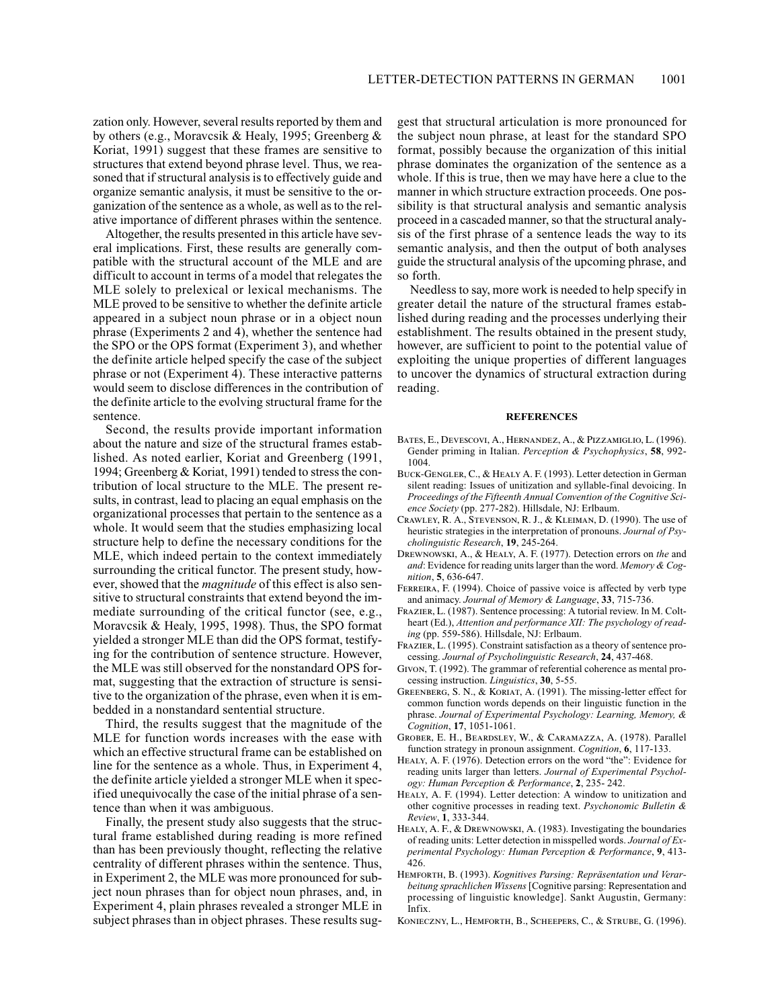zation only. However, several results reported by them and by others (e.g., Moravcsik & Healy, 1995; Greenberg & Koriat, 1991) suggest that these frames are sensitive to structures that extend beyond phrase level. Thus, we reasoned that if structural analysis is to effectively guide and organize semantic analysis, it must be sensitive to the organization of the sentence as a whole, as well as to the relative importance of different phrases within the sentence.

Altogether, the results presented in this article have several implications. First, these results are generally compatible with the structural account of the MLE and are difficult to account in terms of a model that relegates the MLE solely to prelexical or lexical mechanisms. The MLE proved to be sensitive to whether the definite article appeared in a subject noun phrase or in a object noun phrase (Experiments 2 and 4), whether the sentence had the SPO or the OPS format (Experiment 3), and whether the definite article helped specify the case of the subject phrase or not (Experiment 4). These interactive patterns would seem to disclose differences in the contribution of the definite article to the evolving structural frame for the sentence.

Second, the results provide important information about the nature and size of the structural frames established. As noted earlier, Koriat and Greenberg (1991, 1994; Greenberg & Koriat, 1991) tended to stress the contribution of local structure to the MLE. The present results, in contrast, lead to placing an equal emphasis on the organizational processes that pertain to the sentence as a whole. It would seem that the studies emphasizing local structure help to define the necessary conditions for the MLE, which indeed pertain to the context immediately surrounding the critical functor. The present study, however, showed that the *magnitude* of this effect is also sensitive to structural constraints that extend beyond the immediate surrounding of the critical functor (see, e.g., Moravcsik & Healy, 1995, 1998). Thus, the SPO format yielded a stronger MLE than did the OPS format, testifying for the contribution of sentence structure. However, the MLE was still observed for the nonstandard OPS format, suggesting that the extraction of structure is sensitive to the organization of the phrase, even when it is embedded in a nonstandard sentential structure.

Third, the results suggest that the magnitude of the MLE for function words increases with the ease with which an effective structural frame can be established on line for the sentence as a whole. Thus, in Experiment 4, the definite article yielded a stronger MLE when it specified unequivocally the case of the initial phrase of a sentence than when it was ambiguous.

Finally, the present study also suggests that the structural frame established during reading is more refined than has been previously thought, reflecting the relative centrality of different phrases within the sentence. Thus, in Experiment 2, the MLE was more pronounced for subject noun phrases than for object noun phrases, and, in Experiment 4, plain phrases revealed a stronger MLE in subject phrases than in object phrases. These results sug-

gest that structural articulation is more pronounced for the subject noun phrase, at least for the standard SPO format, possibly because the organization of this initial phrase dominates the organization of the sentence as a whole. If this is true, then we may have here a clue to the manner in which structure extraction proceeds. One possibility is that structural analysis and semantic analysis proceed in a cascaded manner, so that the structural analysis of the first phrase of a sentence leads the way to its semantic analysis, and then the output of both analyses guide the structural analysis of the upcoming phrase, and so forth.

Needless to say, more work is needed to help specify in greater detail the nature of the structural frames established during reading and the processes underlying their establishment. The results obtained in the present study, however, are sufficient to point to the potential value of exploiting the unique properties of different languages to uncover the dynamics of structural extraction during reading.

#### **REFERENCES**

- Bates, E., Devescovi, A., Hernandez, A., & Pizzamiglio, L. (1996). Gender priming in Italian. *Perception & Psychophysics*, **58**, 992- 1004.
- Buck-Gengler, C., & Healy A. F. (1993). Letter detection in German silent reading: Issues of unitization and syllable-final devoicing. In *Proceedings of the Fifteenth Annual Convention of the Cognitive Science Society* (pp. 277-282). Hillsdale, NJ: Erlbaum.
- Crawley, R. A., Stevenson, R. J., & Kleiman, D. (1990). The use of heuristic strategies in the interpretation of pronouns. *Journal of Psycholinguistic Research*, **19**, 245-264.
- Drewnowski, A., & Healy, A. F. (1977). Detection errors on *the* and *and*: Evidence for reading units larger than the word. *Memory & Cognition*, **5**, 636-647.
- FERREIRA, F. (1994). Choice of passive voice is affected by verb type and animacy. *Journal of Memory & Language*, **33**, 715-736.
- Frazier, L. (1987). Sentence processing: A tutorial review. In M. Coltheart (Ed.), *Attention and performance XII: The psychology of reading* (pp. 559-586). Hillsdale, NJ: Erlbaum.
- Frazier, L. (1995). Constraint satisfaction as a theory of sentence processing. *Journal of Psycholinguistic Research*, **24**, 437-468.
- Givon, T. (1992). The grammar of referential coherence as mental processing instruction. *Linguistics*, **30**, 5-55.
- Greenberg, S. N., & Koriat, A. (1991). The missing-letter effect for common function words depends on their linguistic function in the phrase. *Journal of Experimental Psychology: Learning, Memory, & Cognition*, **17**, 1051-1061.
- Grober, E. H., Beardsley, W., & Caramazza, A. (1978). Parallel function strategy in pronoun assignment. *Cognition*, **6**, 117-133.
- Healy, A. F. (1976). Detection errors on the word "the": Evidence for reading units larger than letters. *Journal of Experimental Psychology: Human Perception & Performance*, **2**, 235- 242.
- HEALY, A. F. (1994). Letter detection: A window to unitization and other cognitive processes in reading text. *Psychonomic Bulletin & Review*, **1**, 333-344.
- Healy, A. F., & Drewnowski, A. (1983). Investigating the boundaries of reading units: Letter detection in misspelled words. *Journal of Experimental Psychology: Human Perception & Performance*, **9**, 413- 426.
- Hemforth, B. (1993). *Kognitives Parsing: Repräsentation und Verarbeitung sprachlichen Wissens*[Cognitive parsing: Representation and processing of linguistic knowledge]. Sankt Augustin, Germany: Infix.
- Konieczny, L., Hemforth, B., Scheepers, C., & Strube, G. (1996).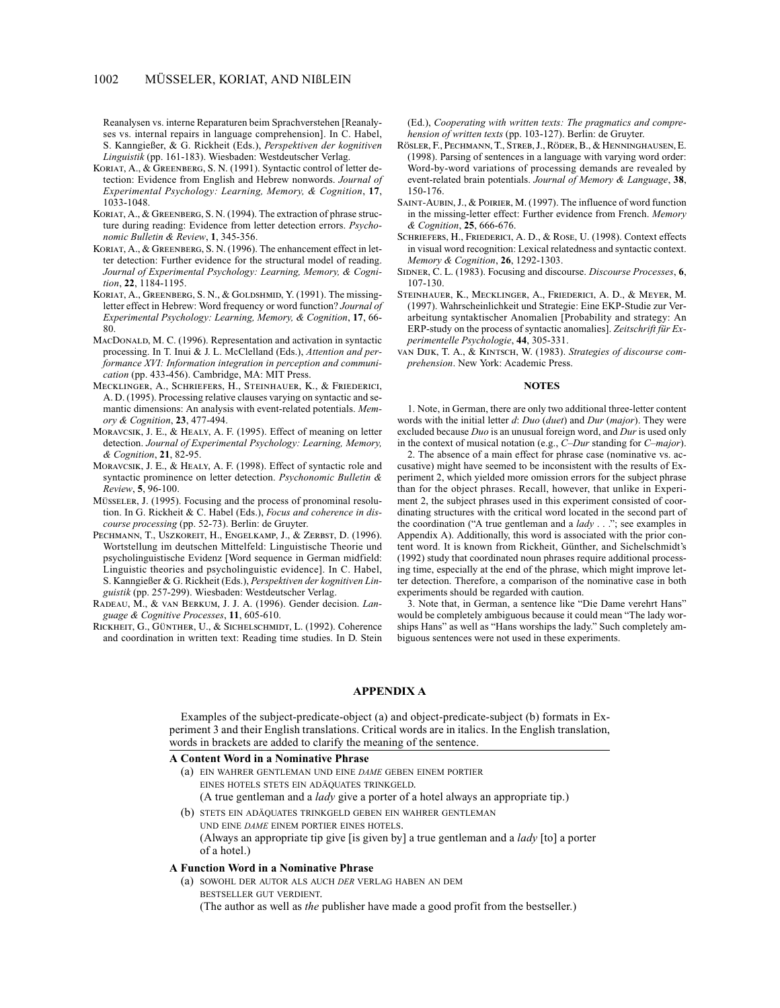# 1002 MÜSSELER, KORIAT, AND NIßLEIN

Reanalysen vs. interne Reparaturen beim Sprachverstehen [Reanalyses vs. internal repairs in language comprehension]. In C. Habel, S. Kanngießer, & G. Rickheit (Eds.), *Perspektiven der kognitiven Linguistik* (pp. 161-183). Wiesbaden: Westdeutscher Verlag.

- KORIAT, A., & GREENBERG, S. N. (1991). Syntactic control of letter detection: Evidence from English and Hebrew nonwords. *Journal of Experimental Psychology: Learning, Memory, & Cognition*, **17**, 1033-1048.
- Koriat, A., & Greenberg, S. N. (1994). The extraction of phrase structure during reading: Evidence from letter detection errors. *Psychonomic Bulletin & Review*, **1**, 345-356.
- Koriat, A., & Greenberg, S. N. (1996). The enhancement effect in letter detection: Further evidence for the structural model of reading. *Journal of Experimental Psychology: Learning, Memory, & Cognition*, **22**, 1184-1195.
- KORIAT, A., GREENBERG, S. N., & GOLDSHMID, Y. (1991). The missingletter effect in Hebrew: Word frequency or word function? *Journal of Experimental Psychology: Learning, Memory, & Cognition*, **17**, 66- 80.
- MACDONALD, M. C. (1996). Representation and activation in syntactic processing. In T. Inui & J. L. McClelland (Eds.), *Attention and performance XVI: Information integration in perception and communication* (pp. 433-456). Cambridge, MA: MIT Press.
- Mecklinger, A., Schriefers, H., Steinhauer, K., & Friederici, A. D. (1995). Processing relative clauses varying on syntactic and semantic dimensions: An analysis with event-related potentials. *Memory & Cognition*, **23**, 477-494.
- Moravcsik, J. E., & Healy, A. F. (1995). Effect of meaning on letter detection. *Journal of Experimental Psychology: Learning, Memory, & Cognition*, **21**, 82-95.
- Moravcsik, J. E., & Healy, A. F. (1998). Effect of syntactic role and syntactic prominence on letter detection. *Psychonomic Bulletin & Review*, **5**, 96-100.
- Müsseler, J. (1995). Focusing and the process of pronominal resolution. In G. Rickheit & C. Habel (Eds.), *Focus and coherence in discourse processing* (pp. 52-73). Berlin: de Gruyter.
- PECHMANN, T., USZKOREIT, H., ENGELKAMP, J., & ZERBST, D. (1996). Wortstellung im deutschen Mittelfeld: Linguistische Theorie und psycholinguistische Evidenz [Word sequence in German midfield: Linguistic theories and psycholinguistic evidence]. In C. Habel, S. Kanngießer & G. Rickheit (Eds.), *Perspektiven der kognitiven Linguistik* (pp. 257-299). Wiesbaden: Westdeutscher Verlag.
- Radeau, M., & van Berkum, J. J. A. (1996). Gender decision. *Language & Cognitive Processes*, **11**, 605-610.
- Rickheit, G., Günther, U., & Sichelschmidt, L. (1992). Coherence and coordination in written text: Reading time studies. In D. Stein

(Ed.), *Cooperating with written texts: The pragmatics and comprehension of written texts* (pp. 103-127). Berlin: de Gruyter.

- Rösler, F., Pechmann, T., Streb, J., Röder, B., & Henninghausen, E. (1998). Parsing of sentences in a language with varying word order: Word-by-word variations of processing demands are revealed by event-related brain potentials. *Journal of Memory & Language*, **38**, 150-176.
- SAINT-AUBIN, J., & POIRIER, M. (1997). The influence of word function in the missing-letter effect: Further evidence from French. *Memory & Cognition*, **25**, 666-676.
- Schriefers, H., Friederici, A. D., & Rose, U. (1998). Context effects in visual word recognition: Lexical relatedness and syntactic context. *Memory & Cognition*, **26**, 1292-1303.
- SIDNER, C. L. (1983). Focusing and discourse. *Discourse Processes*, 6, 107-130.
- Steinhauer, K., Mecklinger, A., Friederici, A. D., & Meyer, M. (1997). Wahrscheinlichkeit und Strategie: Eine EKP-Studie zur Verarbeitung syntaktischer Anomalien [Probability and strategy: An ERP-study on the process of syntactic anomalies]. *Zeitschrift für Experimentelle Psychologie*, **44**, 305-331.
- van Dijk, T. A., & Kintsch, W. (1983). *Strategies of discourse comprehension*. New York: Academic Press.

#### **NOTES**

1. Note, in German, there are only two additional three-letter content words with the initial letter *d*: *Duo* (*duet*) and *Dur* (*major*). They were excluded because *Duo* is an unusual foreign word, and *Dur* is used only in the context of musical notation (e.g., *C–Dur* standing for *C–major*).

2. The absence of a main effect for phrase case (nominative vs. accusative) might have seemed to be inconsistent with the results of Experiment 2, which yielded more omission errors for the subject phrase than for the object phrases. Recall, however, that unlike in Experiment 2, the subject phrases used in this experiment consisted of coordinating structures with the critical word located in the second part of the coordination ("A true gentleman and a *lady* . . ."; see examples in Appendix A). Additionally, this word is associated with the prior content word. It is known from Rickheit, Günther, and Sichelschmidt's (1992) study that coordinated noun phrases require additional processing time, especially at the end of the phrase, which might improve letter detection. Therefore, a comparison of the nominative case in both experiments should be regarded with caution.

3. Note that, in German, a sentence like "Die Dame verehrt Hans" would be completely ambiguous because it could mean "The lady worships Hans" as well as "Hans worships the lady." Such completely ambiguous sentences were not used in these experiments.

#### **APPENDIX A**

Examples of the subject-predicate-object (a) and object-predicate-subject (b) formats in Experiment 3 and their English translations. Critical words are in italics. In the English translation, words in brackets are added to clarify the meaning of the sentence.

#### **A Content Word in a Nominative Phrase**

(a) EIN WAHRER GENTLEMAN UND EINE *DAME* GEBEN EINEM PORTIER EINES HOTELS STETS EIN ADÄQUATES TRINKGELD.

(A true gentleman and a *lady* give a porter of a hotel always an appropriate tip.)

(b) STETS EIN ADÄQUATES TRINKGELD GEBEN EIN WAHRER GENTLEMAN UND EINE *DAME* EINEM PORTIER EINES HOTELS. (Always an appropriate tip give [is given by] a true gentleman and a *lady* [to] a porter of a hotel.)

# **A Function Word in a Nominative Phrase**

- (a) SOWOHL DER AUTOR ALS AUCH *DER* VERLAG HABEN AN DEM BESTSELLER GUT VERDIENT.
	- (The author as well as *the* publisher have made a good profit from the bestseller.)